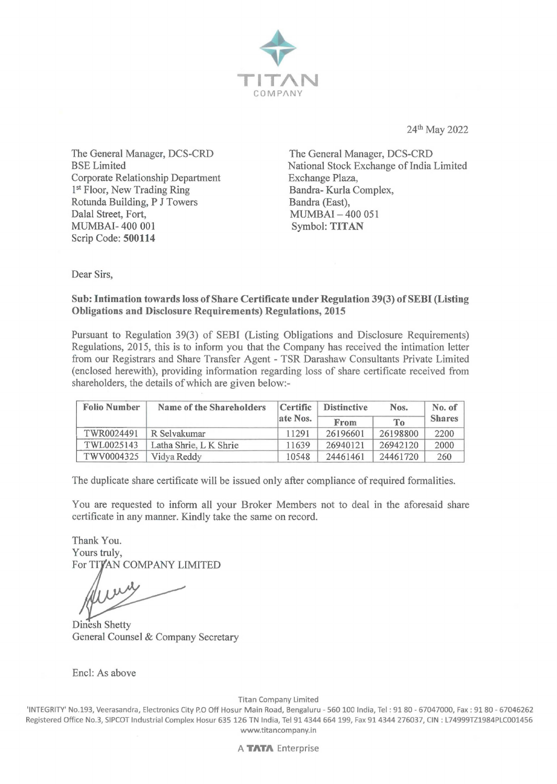

24th May 2022

The General Manager, DCS-CRD BSE Limited Corporate Relationship Department 1<sup>st</sup> Floor, New Trading Ring Rotunda Building, P J Towers Dalal Street, Fort, MUMBAI- 400 001 Scrip Code: **500114** 

The General Manager, DCS-CRD National Stock Exchange of India Limited Exchange Plaza, Bandra-Kurla Complex, Bandra (East), MUMBAI - 400 051 Symbol: **TITAN** 

Dear Sirs,

## **Sub: Intimation towards loss of Share Certificate under Regulation 39(3) of SEBI (Listing Obligations and Disclosure Requirements) Regulations, 2015**

Pursuant to Regulation 39(3) of SEBI (Listing Obligations and Disclosure Requirements) Regulations, 2015, this is to inform you that the Company has received the intimation letter from our Registrars and Share Transfer Agent - TSR Darashaw Consultants Private Limited (enclosed herewith), providing information regarding loss of share certificate received from shareholders, the details of which are given below:-

| <b>Folio Number</b> | Name of the Shareholders | Certific | <b>Distinctive</b> | Nos.     | No. of        |
|---------------------|--------------------------|----------|--------------------|----------|---------------|
|                     |                          | ate Nos. | From               | To       | <b>Shares</b> |
| TWR0024491          | R Selvakumar             | 11291    | 26196601           | 26198800 | 2200          |
| TWL0025143          | Latha Shrie, L K Shrie   | 11639    | 26940121           | 26942120 | 2000          |
| TWV0004325          | Vidya Reddy              | 10548    | 24461461           | 24461720 | 260           |

The duplicate share certificate will be issued only after compliance of required formalities.

You are requested to inform all your Broker Members not to deal in the aforesaid share certificate in any manner. Kindly take the same on record.

Thank You. Yours truly, For TITAN COMPANY LIMITED

Dinesh Shetty General Counsel & Company Secretary

Encl: As above

Titan Company Limited

'INTEGRITY' No.193, Veerasandra, Electronics City P.O Off Hosur Main Road, Bengaluru - 560 100 India, Tel : 91 80 - 67047000, Fax: 9180 - 67046262 Registered Office No.3, SIPCOT Industrial Complex Hosur 635 126 TN India, Tel 914344 664 199, Fax 914344 276037, CIN : L74999TZ1984PLC001456 www.titancompany.in

A **TATA** Enterprise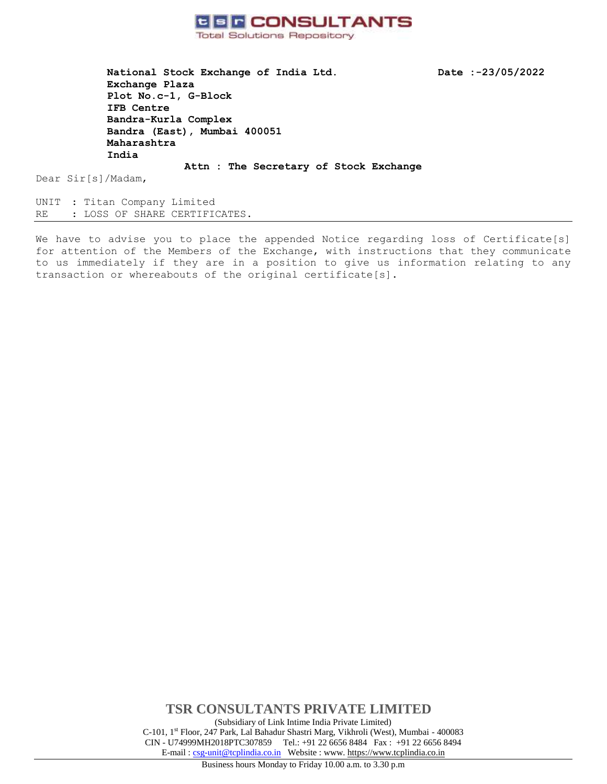

**National Stock Exchange of India Ltd. Date :-23/05/2022 Exchange Plaza Plot No.c-1, G-Block IFB Centre Bandra-Kurla Complex Bandra (East), Mumbai 400051 Maharashtra India** 

Dear Sir[s]/Madam,

UNIT : Titan Company Limited RE : LOSS OF SHARE CERTIFICATES.

We have to advise you to place the appended Notice regarding loss of Certificate[s] for attention of the Members of the Exchange, with instructions that they communicate to us immediately if they are in a position to give us information relating to any transaction or whereabouts of the original certificate[s].

**Attn : The Secretary of Stock Exchange** 

**TSR CONSULTANTS PRIVATE LIMITED**  (Subsidiary of Link Intime India Private Limited) C-101, 1st Floor, 247 Park, Lal Bahadur Shastri Marg, Vikhroli (West), Mumbai - 400083 CIN - U74999MH2018PTC307859Tel.: +91 22 6656 8484 Fax : +91 22 6656 8494 E-mail [: csg-unit@tcplindia.co.in](mailto:csg-unit@tcplindia.co.in) Website [: www. https://www.tcplindia.co.in](http://www.tsrdarashaw.com/)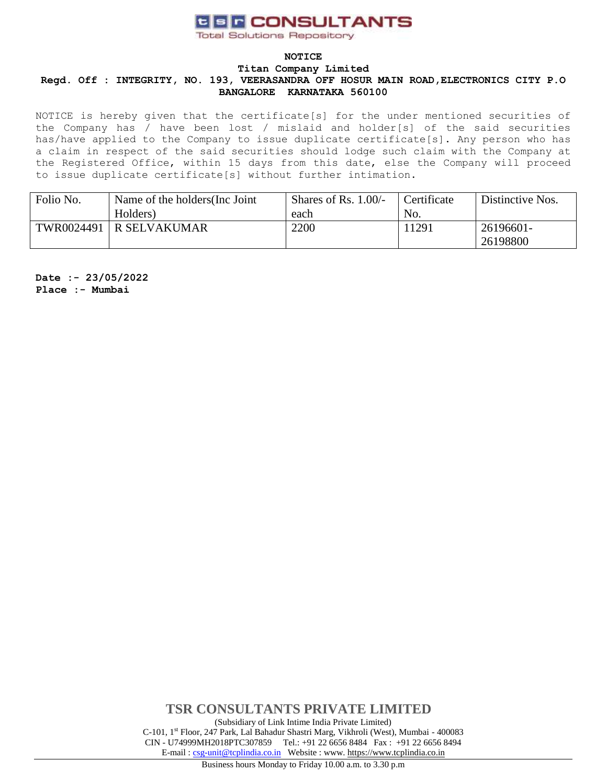**Total Solutions Repository** 

### **NOTICE**

#### **Titan Company Limited**

## **Regd. Off : INTEGRITY, NO. 193, VEERASANDRA OFF HOSUR MAIN ROAD,ELECTRONICS CITY P.O BANGALORE KARNATAKA 560100**

NOTICE is hereby given that the certificate[s] for the under mentioned securities of the Company has / have been lost / mislaid and holder[s] of the said securities has/have applied to the Company to issue duplicate certificate[s]. Any person who has a claim in respect of the said securities should lodge such claim with the Company at the Registered Office, within 15 days from this date, else the Company will proceed to issue duplicate certificate[s] without further intimation.

| Folio No.  | Name of the holders (Inc. Joint | Shares of Rs. $1.00/-$ | Certificate | Distinctive Nos. |
|------------|---------------------------------|------------------------|-------------|------------------|
|            | Holders)                        | each                   | No.         |                  |
| TWR0024491 | R SELVAKUMAR                    | 2200                   | 11291       | 26196601-        |
|            |                                 |                        |             | 26198800         |

**Date :- 23/05/2022 Place :- Mumbai**

> **TSR CONSULTANTS PRIVATE LIMITED**  (Subsidiary of Link Intime India Private Limited) C-101, 1st Floor, 247 Park, Lal Bahadur Shastri Marg, Vikhroli (West), Mumbai - 400083 CIN - U74999MH2018PTC307859Tel.: +91 22 6656 8484 Fax : +91 22 6656 8494 E-mail [: csg-unit@tcplindia.co.in](mailto:csg-unit@tcplindia.co.in) Website [: www. https://www.tcplindia.co.in](http://www.tsrdarashaw.com/)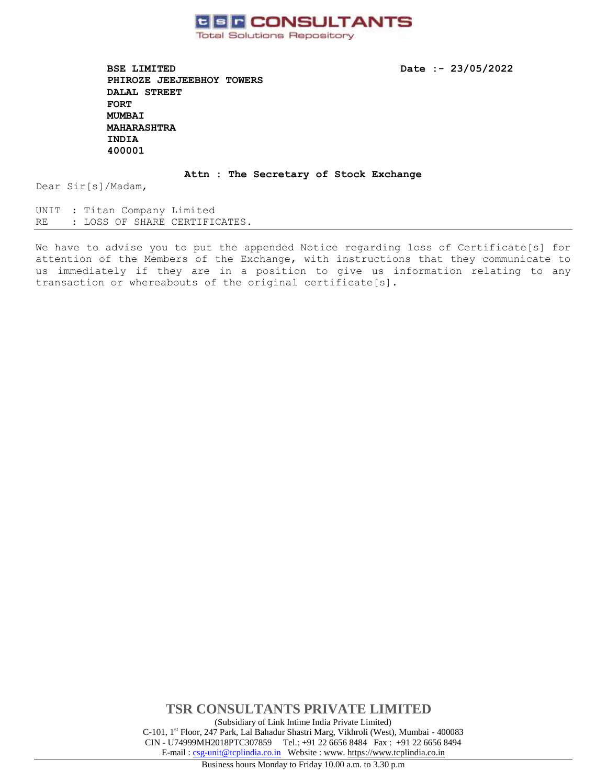

**BSE LIMITED Date :- 23/05/2022 PHIROZE JEEJEEBHOY TOWERS DALAL STREET FORT MUMBAI MAHARASHTRA INDIA 400001** 

### **Attn : The Secretary of Stock Exchange**

Dear Sir[s]/Madam,

UNIT : Titan Company Limited RE : LOSS OF SHARE CERTIFICATES.

We have to advise you to put the appended Notice regarding loss of Certificate[s] for attention of the Members of the Exchange, with instructions that they communicate to us immediately if they are in a position to give us information relating to any transaction or whereabouts of the original certificate[s].

> **TSR CONSULTANTS PRIVATE LIMITED**  (Subsidiary of Link Intime India Private Limited) C-101, 1st Floor, 247 Park, Lal Bahadur Shastri Marg, Vikhroli (West), Mumbai - 400083 CIN - U74999MH2018PTC307859Tel.: +91 22 6656 8484 Fax : +91 22 6656 8494 E-mail [: csg-unit@tcplindia.co.in](mailto:csg-unit@tcplindia.co.in) Website [: www. https://www.tcplindia.co.in](http://www.tsrdarashaw.com/)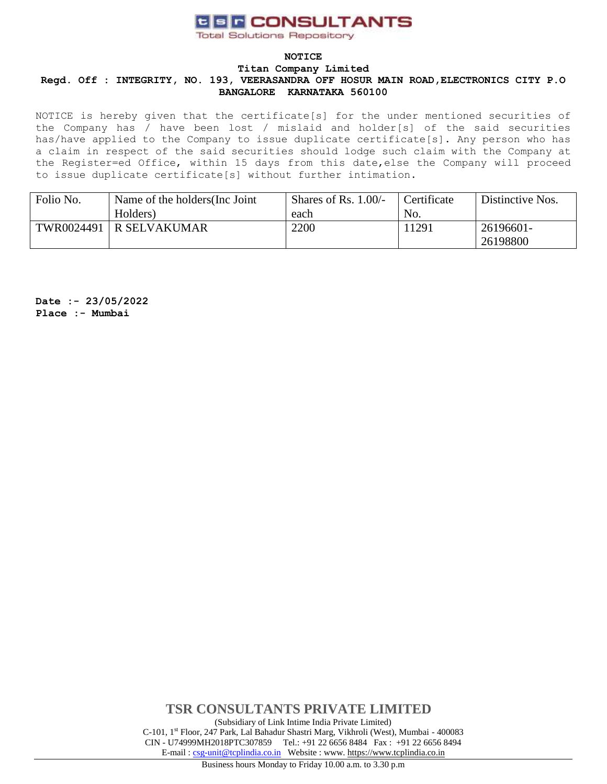**Total Solutions Repository** 

### **NOTICE**

#### **Titan Company Limited**

## **Regd. Off : INTEGRITY, NO. 193, VEERASANDRA OFF HOSUR MAIN ROAD,ELECTRONICS CITY P.O BANGALORE KARNATAKA 560100**

NOTICE is hereby given that the certificate[s] for the under mentioned securities of the Company has / have been lost / mislaid and holder[s] of the said securities has/have applied to the Company to issue duplicate certificate[s]. Any person who has a claim in respect of the said securities should lodge such claim with the Company at the Register=ed Office, within 15 days from this date,else the Company will proceed to issue duplicate certificate[s] without further intimation.

| Folio No.  | Name of the holders (Inc. Joint | Shares of Rs. $1.00/-$ | Certificate | Distinctive Nos. |
|------------|---------------------------------|------------------------|-------------|------------------|
|            | Holders)                        | each                   | No.         |                  |
| TWR0024491 | R SELVAKUMAR                    | 2200                   | 11291       | 26196601-        |
|            |                                 |                        |             | 26198800         |

**Date :- 23/05/2022 Place :- Mumbai**

> **TSR CONSULTANTS PRIVATE LIMITED**  (Subsidiary of Link Intime India Private Limited) C-101, 1st Floor, 247 Park, Lal Bahadur Shastri Marg, Vikhroli (West), Mumbai - 400083 CIN - U74999MH2018PTC307859Tel.: +91 22 6656 8484 Fax : +91 22 6656 8494 E-mail [: csg-unit@tcplindia.co.in](mailto:csg-unit@tcplindia.co.in) Website [: www. https://www.tcplindia.co.in](http://www.tsrdarashaw.com/)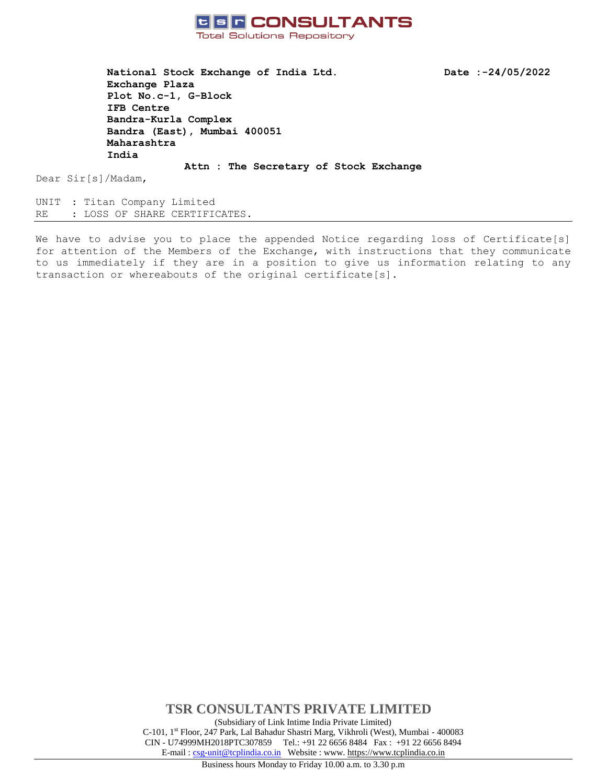

**National Stock Exchange of India Ltd. Date :-24/05/2022 Exchange Plaza Plot No.c-1, G-Block IFB Centre Bandra-Kurla Complex Bandra (East), Mumbai 400051 Maharashtra India**

Dear Sir[s]/Madam,

UNIT : Titan Company Limited RE : LOSS OF SHARE CERTIFICATES.

We have to advise you to place the appended Notice regarding loss of Certificate[s] for attention of the Members of the Exchange, with instructions that they communicate to us immediately if they are in a position to give us information relating to any transaction or whereabouts of the original certificate[s].

**Attn : The Secretary of Stock Exchange**

**TSR CONSULTANTS PRIVATE LIMITED** (Subsidiary of Link Intime India Private Limited) C-101, 1st Floor, 247 Park, Lal Bahadur Shastri Marg, Vikhroli (West), Mumbai - 400083 CIN - U74999MH2018PTC307859Tel.: +91 22 6656 8484 Fax : +91 22 6656 8494 E-mail [: csg-unit@tcplindia.co.in](mailto:csg-unit@tcplindia.co.in) Website : www. [https://www.tcplindia.co.in](http://www.tsrdarashaw.com/)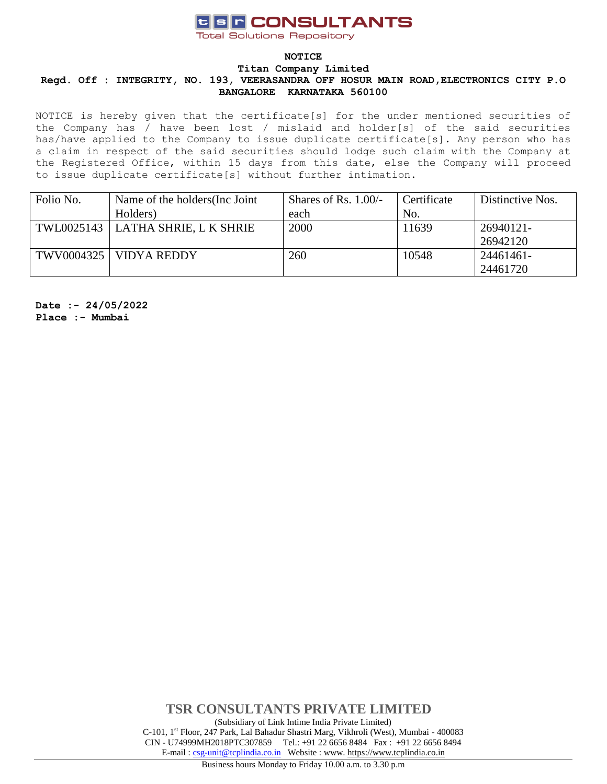**Total Solutions Repository** 

### **NOTICE**

#### **Titan Company Limited**

## **Regd. Off : INTEGRITY, NO. 193, VEERASANDRA OFF HOSUR MAIN ROAD,ELECTRONICS CITY P.O BANGALORE KARNATAKA 560100**

NOTICE is hereby given that the certificate[s] for the under mentioned securities of the Company has / have been lost / mislaid and holder[s] of the said securities has/have applied to the Company to issue duplicate certificate[s]. Any person who has a claim in respect of the said securities should lodge such claim with the Company at the Registered Office, within 15 days from this date, else the Company will proceed to issue duplicate certificate[s] without further intimation.

| Folio No. | Name of the holders (Inc. Joint     | Shares of Rs. $1.00/-$ | Certificate | Distinctive Nos. |
|-----------|-------------------------------------|------------------------|-------------|------------------|
|           | Holders)                            | each                   | No.         |                  |
|           | TWL0025143   LATHA SHRIE, L K SHRIE | 2000                   | 11639       | 26940121-        |
|           |                                     |                        |             | 26942120         |
|           | TWV0004325   VIDYA REDDY            | 260                    | 10548       | 24461461-        |
|           |                                     |                        |             | 24461720         |

**Date :- 24/05/2022 Place :- Mumbai**

> **TSR CONSULTANTS PRIVATE LIMITED** (Subsidiary of Link Intime India Private Limited) C-101, 1st Floor, 247 Park, Lal Bahadur Shastri Marg, Vikhroli (West), Mumbai - 400083 CIN - U74999MH2018PTC307859Tel.: +91 22 6656 8484 Fax : +91 22 6656 8494 E-mail [: csg-unit@tcplindia.co.in](mailto:csg-unit@tcplindia.co.in) Website : www. [https://www.tcplindia.co.in](http://www.tsrdarashaw.com/)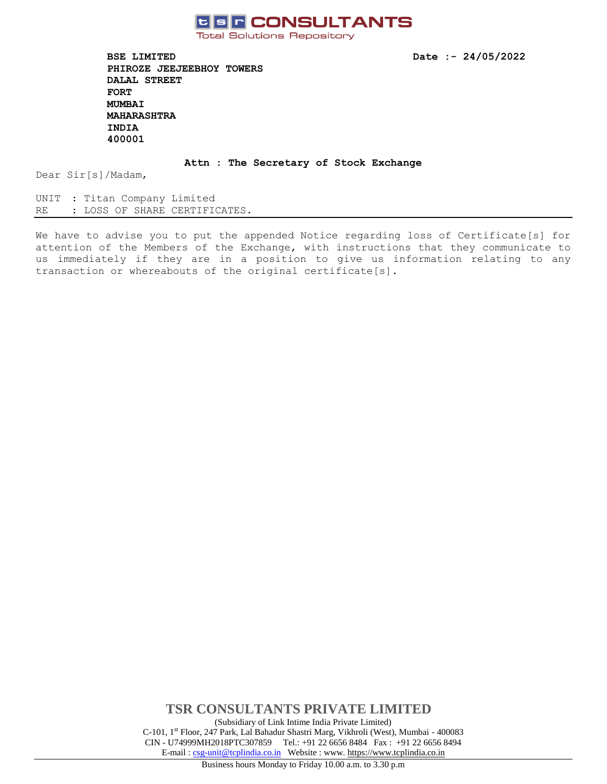

**Total Solutions Repository** 

**BSE LIMITED Date :- 24/05/2022 PHIROZE JEEJEEBHOY TOWERS DALAL STREET FORT MUMBAI MAHARASHTRA INDIA 400001** 

**Attn : The Secretary of Stock Exchange**

Dear Sir[s]/Madam,

UNIT : Titan Company Limited RE : LOSS OF SHARE CERTIFICATES.

We have to advise you to put the appended Notice regarding loss of Certificate[s] for attention of the Members of the Exchange, with instructions that they communicate to us immediately if they are in a position to give us information relating to any transaction or whereabouts of the original certificate[s].

> **TSR CONSULTANTS PRIVATE LIMITED** (Subsidiary of Link Intime India Private Limited) C-101, 1st Floor, 247 Park, Lal Bahadur Shastri Marg, Vikhroli (West), Mumbai - 400083 CIN - U74999MH2018PTC307859Tel.: +91 22 6656 8484 Fax : +91 22 6656 8494 E-mail [: csg-unit@tcplindia.co.in](mailto:csg-unit@tcplindia.co.in) Website : www. [https://www.tcplindia.co.in](http://www.tsrdarashaw.com/)